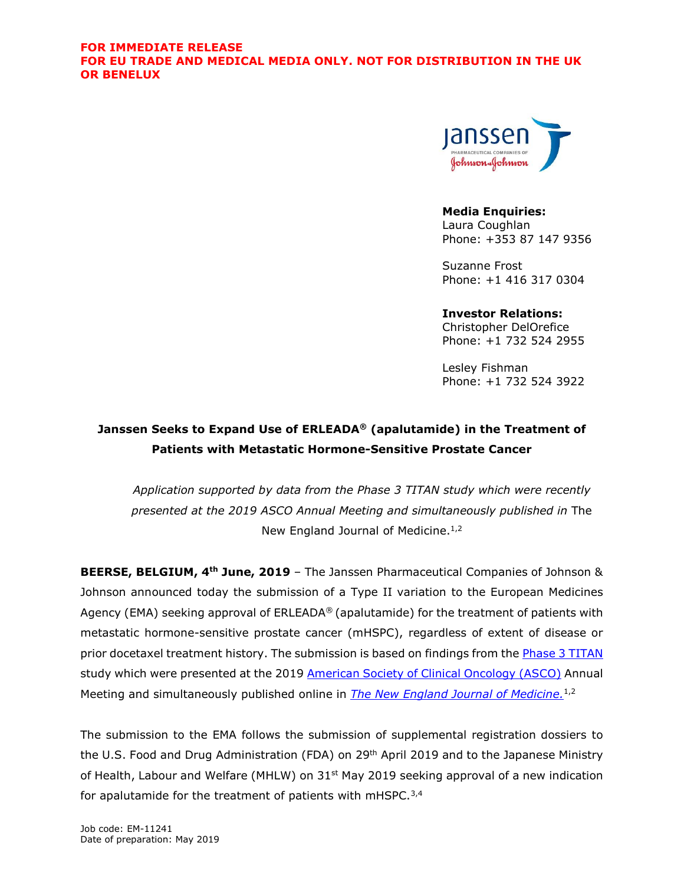

# **Media Enquiries:**

Laura Coughlan Phone: +353 87 147 9356

Suzanne Frost Phone: +1 416 317 0304

**Investor Relations:** Christopher DelOrefice Phone: +1 732 524 2955

<span id="page-0-1"></span><span id="page-0-0"></span>Lesley Fishman Phone: +1 732 524 3922

## **Janssen Seeks to Expand Use of ERLEADA® (apalutamide) in the Treatment of Patients with Metastatic Hormone-Sensitive Prostate Cancer**

*Application supported by data from the Phase 3 TITAN study which were recently presented at the 2019 ASCO Annual Meeting and simultaneously published in* The New England Journal of Medicine.<sup>1,2</sup>

**BEERSE, BELGIUM, 4th June, 2019** – The Janssen Pharmaceutical Companies of Johnson & Johnson announced today the submission of a Type II variation to the European Medicines Agency (EMA) seeking approval of ERLEADA<sup>®</sup> (apalutamide) for the treatment of patients with metastatic hormone-sensitive prostate cancer (mHSPC), regardless of extent of disease or prior docetaxel treatment history. The submission is based on findings from the [Phase 3 TITAN](https://clinicaltrials.gov/ct2/show/NCT02489318) study which were presented at the 2019 [American Society of Clinical Oncology \(ASCO\)](https://meetinglibrary.asco.org/record/172902/abstract) Annual Meeting and simultaneously published online in *The [New England Journal of Medicine.](https://www.nejm.org/doi/full/10.1056/NEJMoa1903307?query=featured_home)* [1](#page-0-0)[,2](#page-0-1)

The submission to the EMA follows the submission of supplemental registration dossiers to the U.S. Food and Drug Administration (FDA) on 29<sup>th</sup> April 2019 and to the Japanese Ministry of Health, Labour and Welfare (MHLW) on  $31<sup>st</sup>$  May 2019 seeking approval of a new indication for apalutamide for the treatment of patients with mHSPC.<sup>3,4</sup>

Job code: EM-11241 Date of preparation: May 2019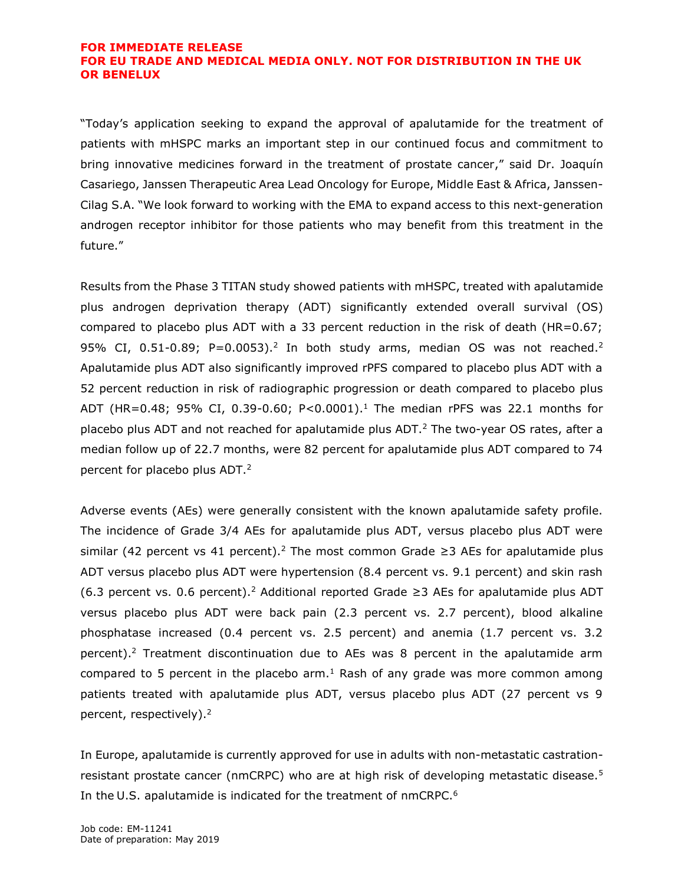"Today's application seeking to expand the approval of apalutamide for the treatment of patients with mHSPC marks an important step in our continued focus and commitment to bring innovative medicines forward in the treatment of prostate cancer," said Dr. Joaquín Casariego, Janssen Therapeutic Area Lead Oncology for Europe, Middle East & Africa, Janssen-Cilag S.A. "We look forward to working with the EMA to expand access to this next-generation androgen receptor inhibitor for those patients who may benefit from this treatment in the future."

Results from the Phase 3 TITAN study showed patients with mHSPC, treated with apalutamide plus androgen deprivation therapy (ADT) significantly extended overall survival (OS) compared to placebo plus ADT with a 33 percent reduction in the risk of death (HR=0.67; 95% CI, 0.51-0.89; P=0.0053).<sup>[2](#page-0-1)</sup> In both study arms, median OS was not reached.<sup>2</sup> Apalutamide plus ADT also significantly improved rPFS compared to placebo plus ADT with a 52 percent reduction in risk of radiographic progression or death compared to placebo plus ADT (HR=0.48; 95% CI, 0.39-0.60; P<0.0001).[1](#page-0-0) The median rPFS was 22.1 months for placebo plus ADT and not reached for apalutamide plus ADT.[2](#page-0-1) The two-year OS rates, after a median follow up of 22.7 months, were 82 percent for apalutamide plus ADT compared to 74 percent for placebo plus ADT.[2](#page-0-1)

Adverse events (AEs) were generally consistent with the known apalutamide safety profile. The incidence of Grade 3/4 AEs for apalutamide plus ADT, versus placebo plus ADT were similar (4[2](#page-0-1) percent vs 41 percent).<sup>2</sup> The most common Grade  $\geq$ 3 AEs for apalutamide plus ADT versus placebo plus ADT were hypertension (8.4 percent vs. 9.1 percent) and skin rash (6.3 percent vs. 0.6 percent).<sup>[2](#page-0-1)</sup> Additional reported Grade ≥3 AEs for apalutamide plus ADT versus placebo plus ADT were back pain (2.3 percent vs. 2.7 percent), blood alkaline phosphatase increased (0.4 percent vs. 2.5 percent) and anemia (1.7 percent vs. 3.2 percent).[2](#page-0-1) Treatment discontinuation due to AEs was 8 percent in the apalutamide arm compared to 5 percent in the placebo arm. $<sup>1</sup>$  $<sup>1</sup>$  $<sup>1</sup>$  Rash of any grade was more common among</sup> patients treated with apalutamide plus ADT, versus placebo plus ADT (27 percent vs 9 percent, respectively).<sup>[2](#page-0-1)</sup>

<span id="page-1-1"></span><span id="page-1-0"></span>In Europe, apalutamide is currently approved for use in adults with non-metastatic castrationresistant prostate cancer (nmCRPC) who are at high risk of developing metastatic disease.<sup>5</sup> In the U.S. apalutamide is indicated for the treatment of nmCRPC.<sup>6</sup>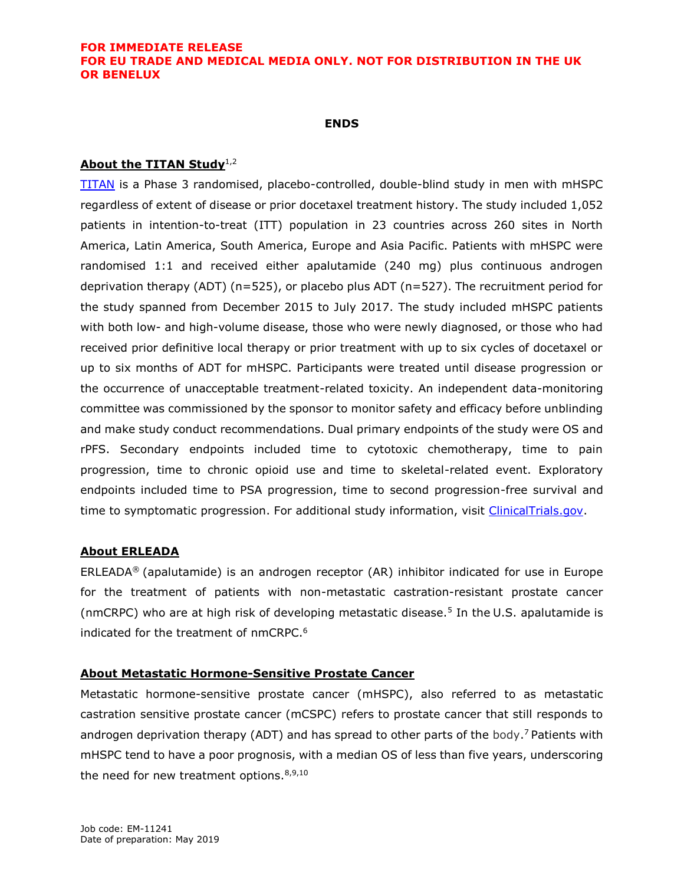#### **ENDS**

#### **About the TITAN Study**1[,2](#page-0-1)

[TITAN](https://clinicaltrials.gov/ct2/show/NCT02489318) is a Phase 3 randomised, placebo-controlled, double-blind study in men with mHSPC regardless of extent of disease or prior docetaxel treatment history. The study included 1,052 patients in intention-to-treat (ITT) population in 23 countries across 260 sites in North America, Latin America, South America, Europe and Asia Pacific. Patients with mHSPC were randomised 1:1 and received either apalutamide (240 mg) plus continuous androgen deprivation therapy (ADT) (n=525), or placebo plus ADT (n=527). The recruitment period for the study spanned from December 2015 to July 2017. The study included mHSPC patients with both low- and high-volume disease, those who were newly diagnosed, or those who had received prior definitive local therapy or prior treatment with up to six cycles of docetaxel or up to six months of ADT for mHSPC. Participants were treated until disease progression or the occurrence of unacceptable treatment-related toxicity. An independent data-monitoring committee was commissioned by the sponsor to monitor safety and efficacy before unblinding and make study conduct recommendations. Dual primary endpoints of the study were OS and rPFS. Secondary endpoints included time to cytotoxic chemotherapy, time to pain progression, time to chronic opioid use and time to skeletal-related event. Exploratory endpoints included time to PSA progression, time to second progression-free survival and time to symptomatic progression. For additional study information, visit [ClinicalTrials.gov.](https://clinicaltrials.gov/ct2/show/NCT02489318)

#### **About ERLEADA**

 $ERLEADA<sup>®</sup>$  (apalutamide) is an androgen receptor (AR) inhibitor indicated for use in Europe for the treatment of patients with non-metastatic castration-resistant prostate cancer (nmCRPC) who are at high risk of developing metastatic disease.<sup>[5](#page-1-0)</sup> In the U.S. apalutamide is indicated for the treatment of nmCRPC.<sup>[6](#page-1-1)</sup>

#### **About Metastatic Hormone-Sensitive Prostate Cancer**

Metastatic hormone-sensitive prostate cancer (mHSPC), also referred to as metastatic castration sensitive prostate cancer (mCSPC) refers to prostate cancer that still responds to androgen deprivation therapy (ADT) and has spread to other parts of the body.<sup>7</sup> Patients with mHSPC tend to have a poor prognosis, with a median OS of less than five years, underscoring the need for new treatment options.<sup>8,9,10</sup>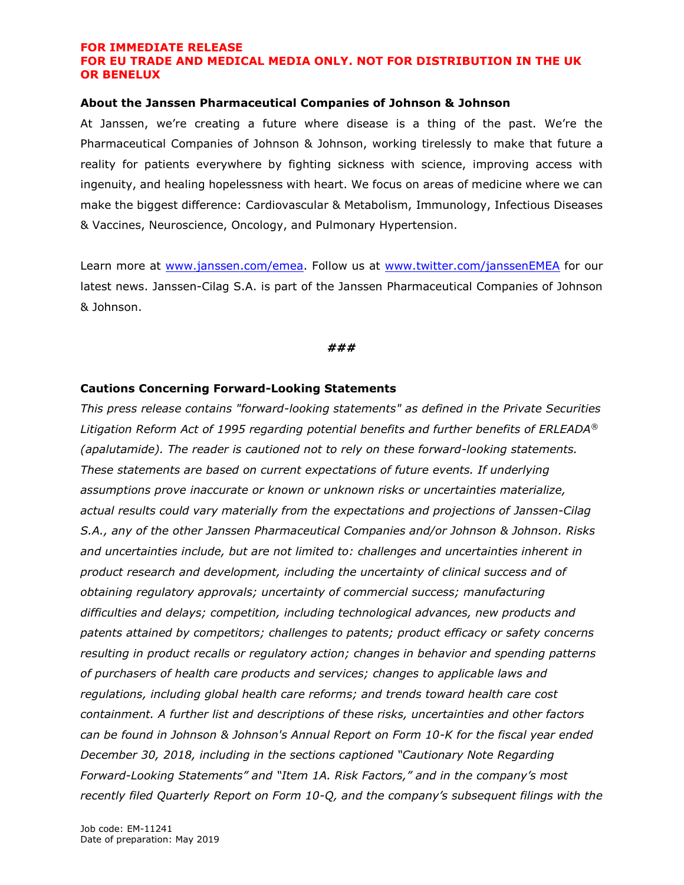#### **About the Janssen Pharmaceutical Companies of Johnson & Johnson**

At Janssen, we're creating a future where disease is a thing of the past. We're the Pharmaceutical Companies of Johnson & Johnson, working tirelessly to make that future a reality for patients everywhere by fighting sickness with science, improving access with ingenuity, and healing hopelessness with heart. We focus on areas of medicine where we can make the biggest difference: Cardiovascular & Metabolism, Immunology, Infectious Diseases & Vaccines, Neuroscience, Oncology, and Pulmonary Hypertension.

Learn more at [www.janssen.com/emea.](http://www.janssen.com/emea) Follow us at [www.twitter.com/janssenEMEA](http://www.twitter.com/janssenEMEA) for our latest news. Janssen-Cilag S.A. is part of the Janssen Pharmaceutical Companies of Johnson & Johnson.

#### *###*

### **Cautions Concerning Forward-Looking Statements**

*This press release contains "forward-looking statements" as defined in the Private Securities Litigation Reform Act of 1995 regarding potential benefits and further benefits of ERLEADA® (apalutamide). The reader is cautioned not to rely on these forward-looking statements. These statements are based on current expectations of future events. If underlying assumptions prove inaccurate or known or unknown risks or uncertainties materialize, actual results could vary materially from the expectations and projections of Janssen-Cilag S.A., any of the other Janssen Pharmaceutical Companies and/or Johnson & Johnson. Risks and uncertainties include, but are not limited to: challenges and uncertainties inherent in product research and development, including the uncertainty of clinical success and of obtaining regulatory approvals; uncertainty of commercial success; manufacturing difficulties and delays; competition, including technological advances, new products and patents attained by competitors; challenges to patents; product efficacy or safety concerns resulting in product recalls or regulatory action; changes in behavior and spending patterns of purchasers of health care products and services; changes to applicable laws and regulations, including global health care reforms; and trends toward health care cost containment. A further list and descriptions of these risks, uncertainties and other factors can be found in Johnson & Johnson's Annual Report on Form 10-K for the fiscal year ended December 30, 2018, including in the sections captioned "Cautionary Note Regarding Forward-Looking Statements" and "Item 1A. Risk Factors," and in the company's most recently filed Quarterly Report on Form 10-Q, and the company's subsequent filings with the*